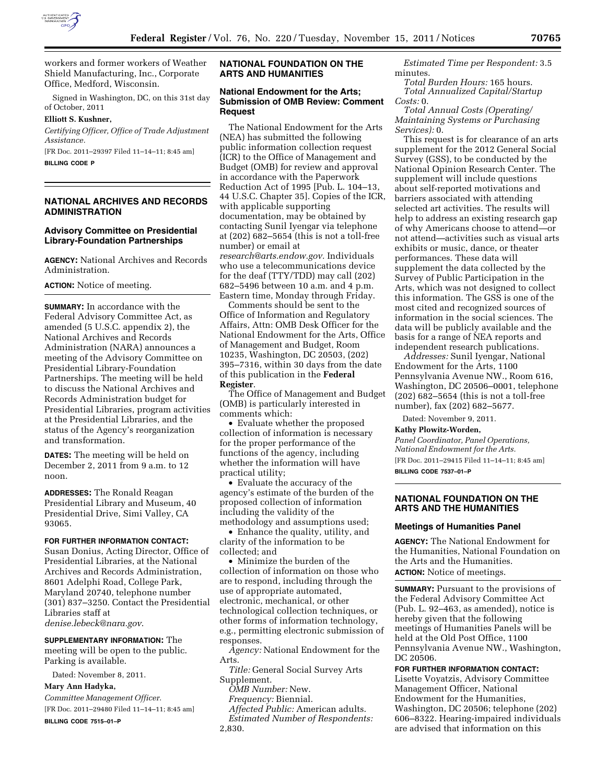

workers and former workers of Weather Shield Manufacturing, Inc., Corporate Office, Medford, Wisconsin.

Signed in Washington, DC, on this 31st day of October, 2011

#### **Elliott S. Kushner,**

*Certifying Officer, Office of Trade Adjustment Assistance.* 

[FR Doc. 2011–29397 Filed 11–14–11; 8:45 am]

**BILLING CODE P** 

## **NATIONAL ARCHIVES AND RECORDS ADMINISTRATION**

# **Advisory Committee on Presidential Library-Foundation Partnerships**

**AGENCY:** National Archives and Records Administration.

**ACTION:** Notice of meeting.

**SUMMARY:** In accordance with the Federal Advisory Committee Act, as amended (5 U.S.C. appendix 2), the National Archives and Records Administration (NARA) announces a meeting of the Advisory Committee on Presidential Library-Foundation Partnerships. The meeting will be held to discuss the National Archives and Records Administration budget for Presidential Libraries, program activities at the Presidential Libraries, and the status of the Agency's reorganization and transformation.

**DATES:** The meeting will be held on December 2, 2011 from 9 a.m. to 12 noon.

**ADDRESSES:** The Ronald Reagan Presidential Library and Museum, 40 Presidential Drive, Simi Valley, CA 93065.

#### **FOR FURTHER INFORMATION CONTACT:**

Susan Donius, Acting Director, Office of Presidential Libraries, at the National Archives and Records Administration, 8601 Adelphi Road, College Park, Maryland 20740, telephone number (301) 837–3250. Contact the Presidential Libraries staff at *[denise.lebeck@nara.gov](mailto:denise.lebeck@nara.gov)*.

**SUPPLEMENTARY INFORMATION:** The meeting will be open to the public. Parking is available.

Dated: November 8, 2011.

### **Mary Ann Hadyka,**

*Committee Management Officer.*  [FR Doc. 2011–29480 Filed 11–14–11; 8:45 am] **BILLING CODE 7515–01–P** 

# **NATIONAL FOUNDATION ON THE ARTS AND HUMANITIES**

## **National Endowment for the Arts; Submission of OMB Review: Comment Request**

The National Endowment for the Arts (NEA) has submitted the following public information collection request (ICR) to the Office of Management and Budget (OMB) for review and approval in accordance with the Paperwork Reduction Act of 1995 [Pub. L. 104–13, 44 U.S.C. Chapter 35]. Copies of the ICR, with applicable supporting documentation, may be obtained by contacting Sunil Iyengar via telephone at (202) 682–5654 (this is not a toll-free number) or email at *[research@arts.endow.gov.](mailto:research@arts.endow.gov)* Individuals who use a telecommunications device for the deaf (TTY/TDD) may call (202) 682–5496 between 10 a.m. and 4 p.m. Eastern time, Monday through Friday.

Comments should be sent to the Office of Information and Regulatory Affairs, Attn: OMB Desk Officer for the National Endowment for the Arts, Office of Management and Budget, Room 10235, Washington, DC 20503, (202) 395–7316, within 30 days from the date of this publication in the **Federal Register**.

The Office of Management and Budget (OMB) is particularly interested in comments which:

• Evaluate whether the proposed collection of information is necessary for the proper performance of the functions of the agency, including whether the information will have practical utility;

• Evaluate the accuracy of the agency's estimate of the burden of the proposed collection of information including the validity of the methodology and assumptions used;

• Enhance the quality, utility, and clarity of the information to be collected; and

• Minimize the burden of the collection of information on those who are to respond, including through the use of appropriate automated, electronic, mechanical, or other technological collection techniques, or other forms of information technology, e.g., permitting electronic submission of responses.

*Agency:* National Endowment for the Arts.

*Title:* General Social Survey Arts Supplement.

*OMB Number:* New.

*Frequency:* Biennial.

*Affected Public:* American adults. *Estimated Number of Respondents:* 

*Estimated Time per Respondent:* 3.5 minutes.

*Total Burden Hours:* 165 hours. *Total Annualized Capital/Startup Costs:* 0.

*Total Annual Costs (Operating/ Maintaining Systems or Purchasing Services):* 0.

This request is for clearance of an arts supplement for the 2012 General Social Survey (GSS), to be conducted by the National Opinion Research Center. The supplement will include questions about self-reported motivations and barriers associated with attending selected art activities. The results will help to address an existing research gap of why Americans choose to attend—or not attend—activities such as visual arts exhibits or music, dance, or theater performances. These data will supplement the data collected by the Survey of Public Participation in the Arts, which was not designed to collect this information. The GSS is one of the most cited and recognized sources of information in the social sciences. The data will be publicly available and the basis for a range of NEA reports and independent research publications.

*Addresses:* Sunil Iyengar, National Endowment for the Arts, 1100 Pennsylvania Avenue NW., Room 616, Washington, DC 20506–0001, telephone (202) 682–5654 (this is not a toll-free number), fax (202) 682–5677.

Dated: November 9, 2011.

**Kathy Plowitz-Worden,** 

*Panel Coordinator, Panel Operations, National Endowment for the Arts.*  [FR Doc. 2011–29415 Filed 11–14–11; 8:45 am] **BILLING CODE 7537–01–P** 

## **NATIONAL FOUNDATION ON THE ARTS AND THE HUMANITIES**

### **Meetings of Humanities Panel**

**AGENCY:** The National Endowment for the Humanities, National Foundation on the Arts and the Humanities. **ACTION:** Notice of meetings.

**SUMMARY:** Pursuant to the provisions of the Federal Advisory Committee Act (Pub. L. 92–463, as amended), notice is hereby given that the following meetings of Humanities Panels will be held at the Old Post Office, 1100 Pennsylvania Avenue NW., Washington, DC 20506.

**FOR FURTHER INFORMATION CONTACT:** 

Lisette Voyatzis, Advisory Committee Management Officer, National Endowment for the Humanities, Washington, DC 20506; telephone (202) 606–8322. Hearing-impaired individuals are advised that information on this